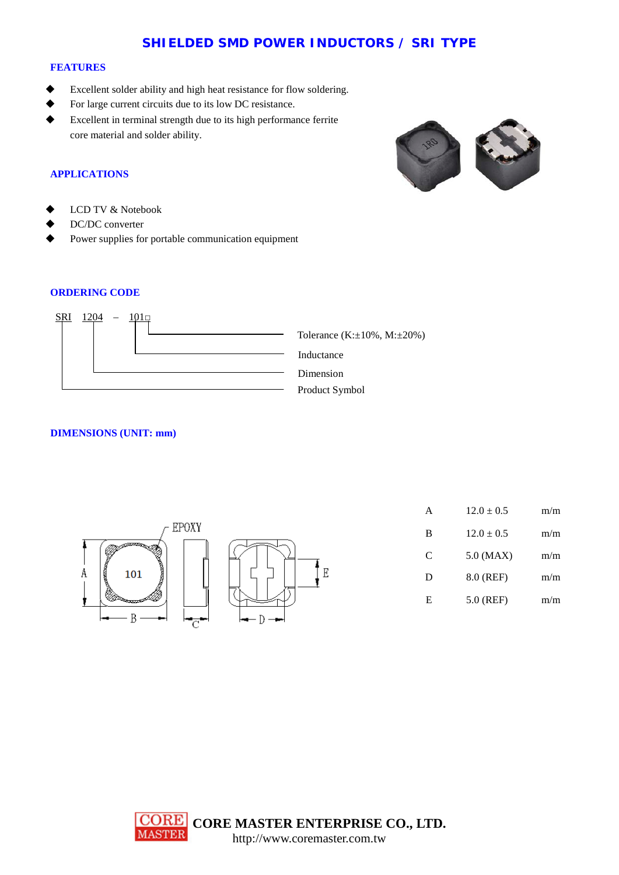# **SHIELDED SMD POWER INDUCTORS / SRI TYPE**

#### **FEATURES**

- Excellent solder ability and high heat resistance for flow soldering.
- For large current circuits due to its low DC resistance.
- Excellent in terminal strength due to its high performance ferrite core material and solder ability.





- LCD TV & Notebook
- DC/DC converter
- Power supplies for portable communication equipment

## **ORDERING CODE**



### **DIMENSIONS (UNIT: mm)**



| A | $12.0 \pm 0.5$ | m/m |
|---|----------------|-----|
| B | $12.0 \pm 0.5$ | m/m |
| C | $5.0$ (MAX)    | m/m |
| D | 8.0 (REF)      | m/m |
| Е | 5.0 (REF)      | m/m |